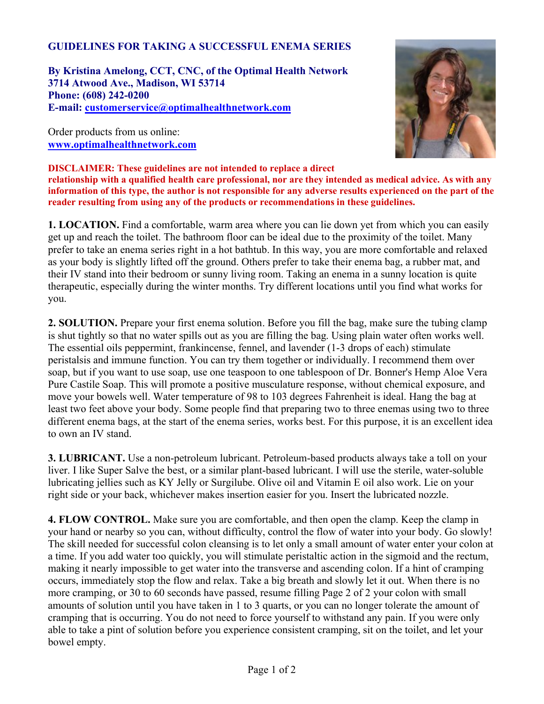## **GUIDELINES FOR TAKING A SUCCESSFUL ENEMA SERIES**

**By Kristina Amelong, CCT, CNC, of the Optimal Health Network 3714 Atwood Ave., Madison, WI 53714 Phone: (608) 242-0200 E-mail: [customerservice@optimalhealthnetwork.com](mailto:customerservice@optimalhealthnetwork.com)**

Order products from us online: **[www.optimalhealthnetwork.com](http://www.optimalhealthnetwork.com)**



**DISCLAIMER: These guidelines are not intended to replace a direct relationship with a qualified health care professional, nor are they intended as medical advice. As with any information of this type, the author is not responsible for any adverse results experienced on the part of the reader resulting from using any of the products or recommendations in these guidelines.**

**1. LOCATION.** Find a comfortable, warm area where you can lie down yet from which you can easily get up and reach the toilet. The bathroom floor can be ideal due to the proximity of the toilet. Many prefer to take an enema series right in a hot bathtub. In this way, you are more comfortable and relaxed as your body is slightly lifted off the ground. Others prefer to take their enema bag, a rubber mat, and their IV stand into their bedroom or sunny living room. Taking an enema in a sunny location is quite therapeutic, especially during the winter months. Try different locations until you find what works for you.

**2. SOLUTION.** Prepare your first enema solution. Before you fill the bag, make sure the tubing clamp is shut tightly so that no water spills out as you are filling the bag. Using plain water often works well. The essential oils peppermint, frankincense, fennel, and lavender (1-3 drops of each) stimulate peristalsis and immune function. You can try them together or individually. I recommend them over soap, but if you want to use soap, use one teaspoon to one tablespoon of Dr. Bonner's Hemp Aloe Vera Pure Castile Soap. This will promote a positive musculature response, without chemical exposure, and move your bowels well. Water temperature of 98 to 103 degrees Fahrenheit is ideal. Hang the bag at least two feet above your body. Some people find that preparing two to three enemas using two to three different enema bags, at the start of the enema series, works best. For this purpose, it is an excellent idea to own an IV stand.

**3. LUBRICANT.** Use a non-petroleum lubricant. Petroleum-based products always take a toll on your liver. I like Super Salve the best, or a similar plant-based lubricant. I will use the sterile, water-soluble lubricating jellies such as KY Jelly or Surgilube. Olive oil and Vitamin E oil also work. Lie on your right side or your back, whichever makes insertion easier for you. Insert the lubricated nozzle.

**4. FLOW CONTROL.** Make sure you are comfortable, and then open the clamp. Keep the clamp in your hand or nearby so you can, without difficulty, control the flow of water into your body. Go slowly! The skill needed for successful colon cleansing is to let only a small amount of water enter your colon at a time. If you add water too quickly, you will stimulate peristaltic action in the sigmoid and the rectum, making it nearly impossible to get water into the transverse and ascending colon. If a hint of cramping occurs, immediately stop the flow and relax. Take a big breath and slowly let it out. When there is no more cramping, or 30 to 60 seconds have passed, resume filling Page 2 of 2 your colon with small amounts of solution until you have taken in 1 to 3 quarts, or you can no longer tolerate the amount of cramping that is occurring. You do not need to force yourself to withstand any pain. If you were only able to take a pint of solution before you experience consistent cramping, sit on the toilet, and let your bowel empty.